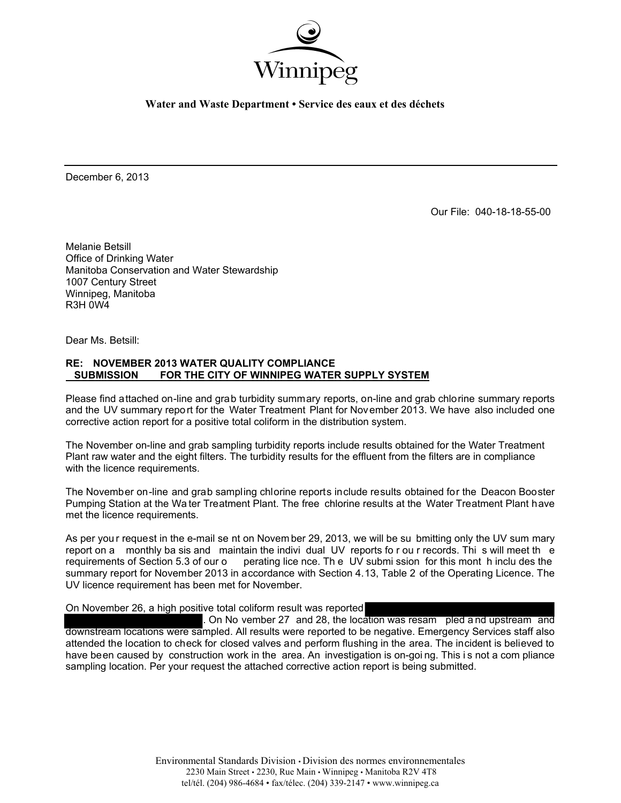

**Water and Waste Department • Service des eaux et des déchets** 

December 6, 2013

Our File: 040-18-18-55-00

Melanie Betsill Office of Drinking Water Manitoba Conservation and Water Stewardship 1007 Century Street Winnipeg, Manitoba R3H 0W4

Dear Ms. Betsill:

### **RE: NOVEMBER 2013 WATER QUALITY COMPLIANCE SUBMISSION FOR THE CITY OF WINNIPEG WATER SUPPLY SYSTEM**

Please find attached on-line and grab turbidity summary reports, on-line and grab chlorine summary reports and the UV summary report for the Water Treatment Plant for November 2013. We have also included one corrective action report for a positive total coliform in the distribution system.

The November on-line and grab sampling turbidity reports include results obtained for the Water Treatment Plant raw water and the eight filters. The turbidity results for the effluent from the filters are in compliance with the licence requirements.

The November on-line and grab sampling chlorine reports include results obtained for the Deacon Booster Pumping Station at the Wa ter Treatment Plant. The free chlorine results at the Water Treatment Plant have met the licence requirements.

As per you r request in the e-mail se nt on Novem ber 29, 2013, we will be su bmitting only the UV sum mary report on a monthly ba sis and maintain the indivi dual UV reports fo r ou r records. Thi s will meet th e requirements of Section 5.3 of our o perating lice nce. Th e UV submi ssion for this mont h inclu des the summary report for November 2013 in accordance with Section 4.13, Table 2 of the Operating Licence. The UV licence requirement has been met for November.

On November 26, a high positive total coliform result was reported

. On No vember 27 and 28, the location was resam pled a nd upstream and downstream locations were sampled. All results were reported to be negative. Emergency Services staff also attended the location to check for closed valves and perform flushing in the area. The incident is believed to have been caused by construction work in the area. An investigation is on-goi ng. This i s not a com pliance sampling location. Per your request the attached corrective action report is being submitted.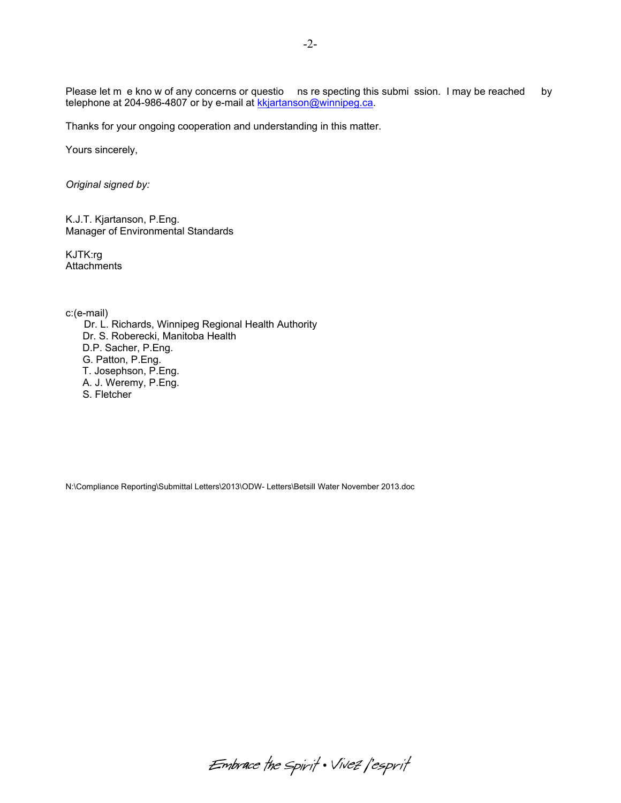Please let m e kno w of any concerns or questio ns re specting this submi ssion. I may be reached by telephone at 204-986-4807 or by e-mail at kkjartanson@winnipeg.ca.

Thanks for your ongoing cooperation and understanding in this matter.

Yours sincerely,

*Original signed by:* 

K.J.T. Kjartanson, P.Eng. Manager of Environmental Standards

KJTK:rg **Attachments** 

c:(e-mail)

 Dr. L. Richards, Winnipeg Regional Health Authority Dr. S. Roberecki, Manitoba Health D.P. Sacher, P.Eng. G. Patton, P.Eng. T. Josephson, P.Eng. A. J. Weremy, P.Eng. S. Fletcher

N:\Compliance Reporting\Submittal Letters\2013\ODW- Letters\Betsill Water November 2013.doc

-2-

Embrace the spirit . Vivez l'esprit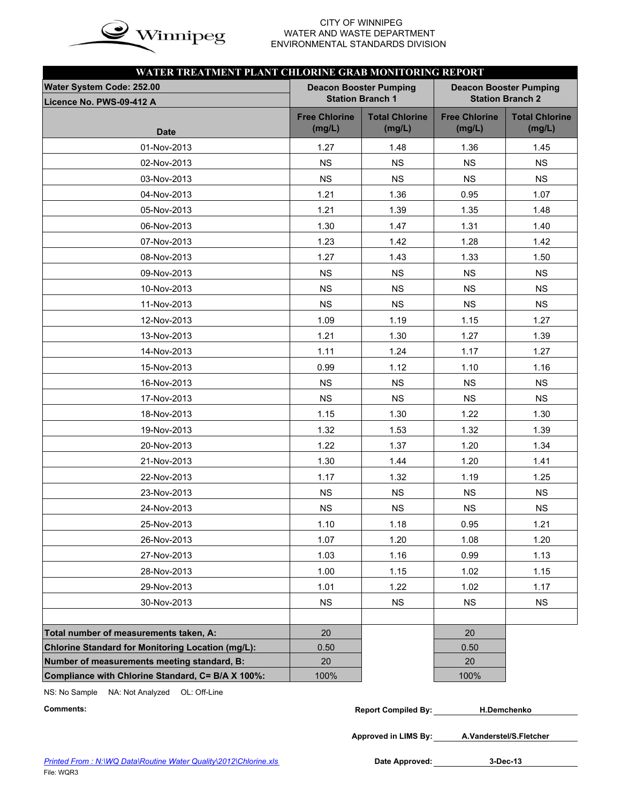

#### CITY OF WINNIPEG  $\mathbf{in}$  WATER AND WASTE DEPARTMENT ENVIRONMENTAL STANDARDS DIVISION

| WATER TREATMENT PLANT CHLORINE GRAB MONITORING REPORT    |                                |                                                          |                                |                                                          |  |  |  |  |  |  |
|----------------------------------------------------------|--------------------------------|----------------------------------------------------------|--------------------------------|----------------------------------------------------------|--|--|--|--|--|--|
| Water System Code: 252.00<br>Licence No. PWS-09-412 A    |                                | <b>Deacon Booster Pumping</b><br><b>Station Branch 1</b> |                                | <b>Deacon Booster Pumping</b><br><b>Station Branch 2</b> |  |  |  |  |  |  |
| <b>Date</b>                                              | <b>Free Chlorine</b><br>(mg/L) | <b>Total Chlorine</b><br>(mg/L)                          | <b>Free Chlorine</b><br>(mg/L) | <b>Total Chlorine</b><br>(mg/L)                          |  |  |  |  |  |  |
| 01-Nov-2013                                              | 1.27                           | 1.48                                                     | 1.36                           | 1.45                                                     |  |  |  |  |  |  |
| 02-Nov-2013                                              | <b>NS</b>                      | <b>NS</b>                                                | <b>NS</b>                      | <b>NS</b>                                                |  |  |  |  |  |  |
| 03-Nov-2013                                              | <b>NS</b>                      | <b>NS</b>                                                | <b>NS</b>                      | <b>NS</b>                                                |  |  |  |  |  |  |
| 04-Nov-2013                                              | 1.21                           | 1.36                                                     | 0.95                           | 1.07                                                     |  |  |  |  |  |  |
| 05-Nov-2013                                              | 1.21                           | 1.39                                                     | 1.35                           | 1.48                                                     |  |  |  |  |  |  |
| 06-Nov-2013                                              | 1.30                           | 1.47                                                     | 1.31                           | 1.40                                                     |  |  |  |  |  |  |
| 07-Nov-2013                                              | 1.23                           | 1.42                                                     | 1.28                           | 1.42                                                     |  |  |  |  |  |  |
| 08-Nov-2013                                              | 1.27                           | 1.43                                                     | 1.33                           | 1.50                                                     |  |  |  |  |  |  |
| 09-Nov-2013                                              | <b>NS</b>                      | <b>NS</b>                                                | <b>NS</b>                      | <b>NS</b>                                                |  |  |  |  |  |  |
| 10-Nov-2013                                              | <b>NS</b>                      | <b>NS</b>                                                | <b>NS</b>                      | <b>NS</b>                                                |  |  |  |  |  |  |
| 11-Nov-2013                                              | <b>NS</b>                      | <b>NS</b>                                                | <b>NS</b>                      | <b>NS</b>                                                |  |  |  |  |  |  |
| 12-Nov-2013                                              | 1.09                           | 1.19                                                     | 1.15                           | 1.27                                                     |  |  |  |  |  |  |
| 13-Nov-2013                                              | 1.21                           | 1.30                                                     | 1.27                           | 1.39                                                     |  |  |  |  |  |  |
| 14-Nov-2013                                              | 1.11                           | 1.24                                                     | 1.17                           | 1.27                                                     |  |  |  |  |  |  |
| 15-Nov-2013                                              | 0.99                           | 1.12                                                     | 1.10                           | 1.16                                                     |  |  |  |  |  |  |
| 16-Nov-2013                                              | <b>NS</b>                      | <b>NS</b>                                                | <b>NS</b>                      | <b>NS</b>                                                |  |  |  |  |  |  |
| 17-Nov-2013                                              | <b>NS</b>                      | <b>NS</b>                                                | <b>NS</b>                      | <b>NS</b>                                                |  |  |  |  |  |  |
| 18-Nov-2013                                              | 1.15                           | 1.30                                                     | 1.22                           | 1.30                                                     |  |  |  |  |  |  |
| 19-Nov-2013                                              | 1.32                           | 1.53                                                     | 1.32                           | 1.39                                                     |  |  |  |  |  |  |
| 20-Nov-2013                                              | 1.22                           | 1.37                                                     | 1.20                           | 1.34                                                     |  |  |  |  |  |  |
| 21-Nov-2013                                              | 1.30                           | 1.44                                                     | 1.20                           | 1.41                                                     |  |  |  |  |  |  |
| 22-Nov-2013                                              | 1.17                           | 1.32                                                     | 1.19                           | 1.25                                                     |  |  |  |  |  |  |
| 23-Nov-2013                                              | <b>NS</b>                      | <b>NS</b>                                                | <b>NS</b>                      | <b>NS</b>                                                |  |  |  |  |  |  |
| 24-Nov-2013                                              | NS                             | NS                                                       | NS                             | NS                                                       |  |  |  |  |  |  |
| 25-Nov-2013                                              | 1.10                           | 1.18                                                     | 0.95                           | 1.21                                                     |  |  |  |  |  |  |
| 26-Nov-2013                                              | 1.07                           | 1.20                                                     | 1.08                           | 1.20                                                     |  |  |  |  |  |  |
| 27-Nov-2013                                              | 1.03                           | 1.16                                                     | 0.99                           | 1.13                                                     |  |  |  |  |  |  |
| 28-Nov-2013                                              | 1.00                           | 1.15                                                     | 1.02                           | 1.15                                                     |  |  |  |  |  |  |
| 29-Nov-2013                                              | 1.01                           | 1.22                                                     | 1.02                           | 1.17                                                     |  |  |  |  |  |  |
| 30-Nov-2013                                              | <b>NS</b>                      | <b>NS</b>                                                | <b>NS</b>                      | <b>NS</b>                                                |  |  |  |  |  |  |
|                                                          |                                |                                                          |                                |                                                          |  |  |  |  |  |  |
| Total number of measurements taken, A:                   | 20                             |                                                          | 20                             |                                                          |  |  |  |  |  |  |
| <b>Chlorine Standard for Monitoring Location (mg/L):</b> | 0.50                           |                                                          | 0.50                           |                                                          |  |  |  |  |  |  |
| Number of measurements meeting standard, B:              | 20                             |                                                          | 20                             |                                                          |  |  |  |  |  |  |
| Compliance with Chlorine Standard, C= B/A X 100%:        | 100%                           |                                                          | 100%                           |                                                          |  |  |  |  |  |  |

NS: No Sample NA: Not Analyzed OL: Off-Line

| Comments: | <b>Report Compiled By:</b> | <b>H.Demchenko</b> |
|-----------|----------------------------|--------------------|
|-----------|----------------------------|--------------------|

**Approved in LIMS By: A.Vanderstel/S.Fletcher**

Date Approved: 3-Dec-13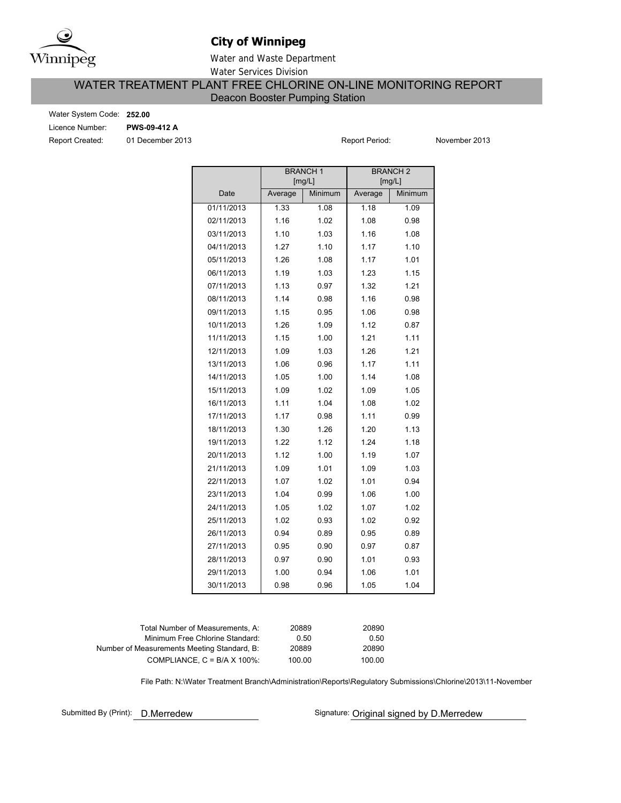

# **City of Winnipeg**

Water and Waste Department Water Services Division

## WATER TREATMENT PLANT FREE CHLORINE ON-LINE MONITORING REPORT Deacon Booster Pumping Station

Water System Code: **252.00** Licence Number: **PWS-09-412 A** Report Created: 01 December 2013

Report Period: November 2013

|            |         | <b>BRANCH1</b><br>[mg/L] |         | <b>BRANCH 2</b><br>[mg/L] |
|------------|---------|--------------------------|---------|---------------------------|
| Date       | Average | Minimum                  | Average | Minimum                   |
| 01/11/2013 | 1.33    | 1.08                     | 1.18    | 1.09                      |
| 02/11/2013 | 1.16    | 1.02                     | 1.08    | 0.98                      |
| 03/11/2013 | 1.10    | 1.03                     | 1.16    | 1.08                      |
| 04/11/2013 | 1.27    | 1.10                     | 1.17    | 1.10                      |
| 05/11/2013 | 1.26    | 1.08                     | 1.17    | 1.01                      |
| 06/11/2013 | 1.19    | 1.03                     | 1.23    | 1.15                      |
| 07/11/2013 | 1.13    | 0.97                     | 1.32    | 1.21                      |
| 08/11/2013 | 1.14    | 0.98                     | 1.16    | 0.98                      |
| 09/11/2013 | 1.15    | 0.95                     | 1.06    | 0.98                      |
| 10/11/2013 | 1.26    | 1.09                     | 1.12    | 0.87                      |
| 11/11/2013 | 1.15    | 1.00                     | 1.21    | 1.11                      |
| 12/11/2013 | 1.09    | 1.03                     | 1.26    | 1.21                      |
| 13/11/2013 | 1.06    | 0.96                     | 1.17    | 1.11                      |
| 14/11/2013 | 1.05    | 1.00                     | 1.14    | 1.08                      |
| 15/11/2013 | 1.09    | 1.02                     | 1.09    | 1.05                      |
| 16/11/2013 | 1.11    | 1.04                     | 1.08    | 1.02                      |
| 17/11/2013 | 1.17    | 0.98                     | 1.11    | 0.99                      |
| 18/11/2013 | 1.30    | 1.26                     | 1.20    | 1.13                      |
| 19/11/2013 | 1.22    | 1.12                     | 1.24    | 1.18                      |
| 20/11/2013 | 1.12    | 1.00                     | 1.19    | 1.07                      |
| 21/11/2013 | 1.09    | 1.01                     | 1.09    | 1.03                      |
| 22/11/2013 | 1.07    | 1.02                     | 1.01    | 0.94                      |
| 23/11/2013 | 1.04    | 0.99                     | 1.06    | 1.00                      |
| 24/11/2013 | 1.05    | 1.02                     | 1.07    | 1.02                      |
| 25/11/2013 | 1.02    | 0.93                     | 1.02    | 0.92                      |
| 26/11/2013 | 0.94    | 0.89                     | 0.95    | 0.89                      |
| 27/11/2013 | 0.95    | 0.90                     | 0.97    | 0.87                      |
| 28/11/2013 | 0.97    | 0.90                     | 1.01    | 0.93                      |
| 29/11/2013 | 1.00    | 0.94                     | 1.06    | 1.01                      |
| 30/11/2013 | 0.98    | 0.96                     | 1.05    | 1.04                      |

| Total Number of Measurements, A:            | 20889  | 20890  |
|---------------------------------------------|--------|--------|
| Minimum Free Chlorine Standard:             | 0.50   | 0.50   |
| Number of Measurements Meeting Standard, B: | 20889  | 20890  |
| COMPLIANCE, $C = B/A \times 100\%$          | 100.00 | 100.00 |

File Path: N:\Water Treatment Branch\Administration\Reports\Regulatory Submissions\Chlorine\2013\11-November

Submitted By (Print): D.Merredew

Signature: Original signed by D.Merredew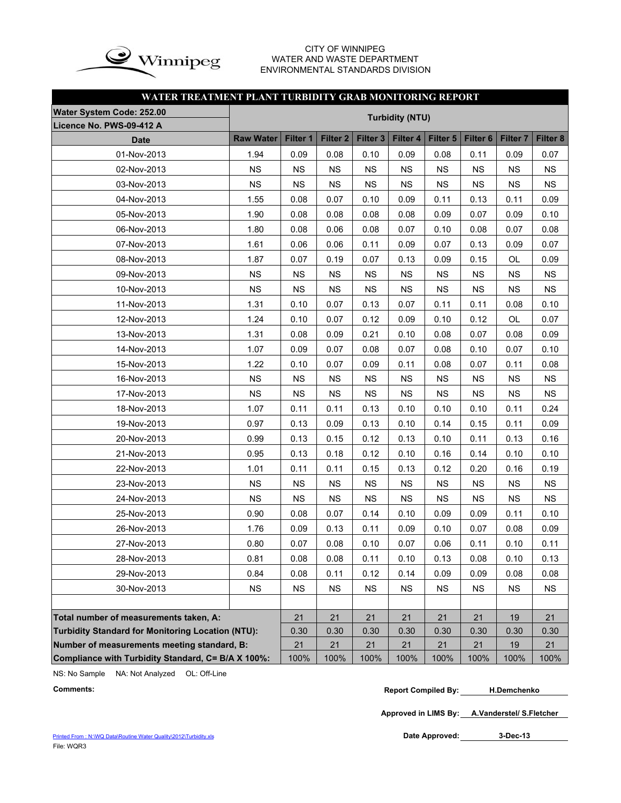

#### CITY OF WINNIPEG WATER AND WASTE DEPARTMENT ENVIRONMENTAL STANDARDS DIVISION

## **WATER TREATMENT PLANT TURBIDITY GRAB MONITORING REPORT**

| <b>Water System Code: 252.00</b>                         | <b>Turbidity (NTU)</b> |           |                 |                     |           |           |                 |                 |           |
|----------------------------------------------------------|------------------------|-----------|-----------------|---------------------|-----------|-----------|-----------------|-----------------|-----------|
| Licence No. PWS-09-412 A                                 |                        |           |                 |                     |           |           |                 |                 |           |
| <b>Date</b>                                              | <b>Raw Water</b>       | Filter 1  | <b>Filter 2</b> | Filter <sub>3</sub> | Filter 4  | Filter 5  | <b>Filter 6</b> | <b>Filter 7</b> | Filter 8  |
| 01-Nov-2013                                              | 1.94                   | 0.09      | 0.08            | 0.10                | 0.09      | 0.08      | 0.11            | 0.09            | 0.07      |
| 02-Nov-2013                                              | <b>NS</b>              | <b>NS</b> | <b>NS</b>       | <b>NS</b>           | <b>NS</b> | <b>NS</b> | <b>NS</b>       | <b>NS</b>       | <b>NS</b> |
| 03-Nov-2013                                              | <b>NS</b>              | <b>NS</b> | <b>NS</b>       | <b>NS</b>           | <b>NS</b> | <b>NS</b> | <b>NS</b>       | <b>NS</b>       | <b>NS</b> |
| 04-Nov-2013                                              | 1.55                   | 0.08      | 0.07            | 0.10                | 0.09      | 0.11      | 0.13            | 0.11            | 0.09      |
| 05-Nov-2013                                              | 1.90                   | 0.08      | 0.08            | 0.08                | 0.08      | 0.09      | 0.07            | 0.09            | 0.10      |
| 06-Nov-2013                                              | 1.80                   | 0.08      | 0.06            | 0.08                | 0.07      | 0.10      | 0.08            | 0.07            | 0.08      |
| 07-Nov-2013                                              | 1.61                   | 0.06      | 0.06            | 0.11                | 0.09      | 0.07      | 0.13            | 0.09            | 0.07      |
| 08-Nov-2013                                              | 1.87                   | 0.07      | 0.19            | 0.07                | 0.13      | 0.09      | 0.15            | OL              | 0.09      |
| 09-Nov-2013                                              | <b>NS</b>              | <b>NS</b> | <b>NS</b>       | <b>NS</b>           | <b>NS</b> | <b>NS</b> | <b>NS</b>       | <b>NS</b>       | <b>NS</b> |
| 10-Nov-2013                                              | <b>NS</b>              | <b>NS</b> | <b>NS</b>       | <b>NS</b>           | <b>NS</b> | <b>NS</b> | <b>NS</b>       | <b>NS</b>       | <b>NS</b> |
| 11-Nov-2013                                              | 1.31                   | 0.10      | 0.07            | 0.13                | 0.07      | 0.11      | 0.11            | 0.08            | 0.10      |
| 12-Nov-2013                                              | 1.24                   | 0.10      | 0.07            | 0.12                | 0.09      | 0.10      | 0.12            | OL              | 0.07      |
| 13-Nov-2013                                              | 1.31                   | 0.08      | 0.09            | 0.21                | 0.10      | 0.08      | 0.07            | 0.08            | 0.09      |
| 14-Nov-2013                                              | 1.07                   | 0.09      | 0.07            | 0.08                | 0.07      | 0.08      | 0.10            | 0.07            | 0.10      |
| 15-Nov-2013                                              | 1.22                   | 0.10      | 0.07            | 0.09                | 0.11      | 0.08      | 0.07            | 0.11            | 0.08      |
| 16-Nov-2013                                              | <b>NS</b>              | <b>NS</b> | <b>NS</b>       | <b>NS</b>           | <b>NS</b> | <b>NS</b> | <b>NS</b>       | <b>NS</b>       | <b>NS</b> |
| 17-Nov-2013                                              | <b>NS</b>              | <b>NS</b> | <b>NS</b>       | <b>NS</b>           | <b>NS</b> | <b>NS</b> | <b>NS</b>       | <b>NS</b>       | <b>NS</b> |
| 18-Nov-2013                                              | 1.07                   | 0.11      | 0.11            | 0.13                | 0.10      | 0.10      | 0.10            | 0.11            | 0.24      |
| 19-Nov-2013                                              | 0.97                   | 0.13      | 0.09            | 0.13                | 0.10      | 0.14      | 0.15            | 0.11            | 0.09      |
| 20-Nov-2013                                              | 0.99                   | 0.13      | 0.15            | 0.12                | 0.13      | 0.10      | 0.11            | 0.13            | 0.16      |
| 21-Nov-2013                                              | 0.95                   | 0.13      | 0.18            | 0.12                | 0.10      | 0.16      | 0.14            | 0.10            | 0.10      |
| 22-Nov-2013                                              | 1.01                   | 0.11      | 0.11            | 0.15                | 0.13      | 0.12      | 0.20            | 0.16            | 0.19      |
| 23-Nov-2013                                              | <b>NS</b>              | <b>NS</b> | <b>NS</b>       | <b>NS</b>           | NS        | <b>NS</b> | <b>NS</b>       | <b>NS</b>       | <b>NS</b> |
| 24-Nov-2013                                              | <b>NS</b>              | <b>NS</b> | <b>NS</b>       | <b>NS</b>           | <b>NS</b> | <b>NS</b> | <b>NS</b>       | <b>NS</b>       | <b>NS</b> |
| 25-Nov-2013                                              | 0.90                   | 0.08      | 0.07            | 0.14                | 0.10      | 0.09      | 0.09            | 0.11            | 0.10      |
| 26-Nov-2013                                              | 1.76                   | 0.09      | 0.13            | 0.11                | 0.09      | 0.10      | 0.07            | 0.08            | 0.09      |
| 27-Nov-2013                                              | 0.80                   | 0.07      | 0.08            | 0.10                | 0.07      | 0.06      | 0.11            | 0.10            | 0.11      |
| 28-Nov-2013                                              | 0.81                   | 0.08      | 0.08            | 0.11                | 0.10      | 0.13      | 0.08            | 0.10            | 0.13      |
| 29-Nov-2013                                              | 0.84                   | 0.08      | 0.11            | 0.12                | 0.14      | 0.09      | 0.09            | 0.08            | 0.08      |
| 30-Nov-2013                                              | <b>NS</b>              | <b>NS</b> | <b>NS</b>       | <b>NS</b>           | <b>NS</b> | <b>NS</b> | <b>NS</b>       | <b>NS</b>       | <b>NS</b> |
|                                                          |                        |           |                 |                     |           |           |                 |                 |           |
| Total number of measurements taken, A:                   |                        | 21        | 21              | 21                  | 21        | 21        | 21              | 19              | 21        |
| <b>Turbidity Standard for Monitoring Location (NTU):</b> |                        | 0.30      | 0.30            | 0.30                | 0.30      | 0.30      | 0.30            | 0.30            | 0.30      |
| Number of measurements meeting standard, B:              |                        | 21        | 21              | 21                  | 21        | 21        | 21              | 19              | 21        |
| Compliance with Turbidity Standard, C= B/A X 100%:       |                        | 100%      | 100%            | 100%                | 100%      | 100%      | 100%            | 100%            | 100%      |

NS: No Sample NA: Not Analyzed OL: Off-Line

```
Comments: Report Compiled By:
H.Demchenko
```
**Approved in LIMS By: A.Vanderstel/ S.Fletcher**

Date Approved: 3-Dec-13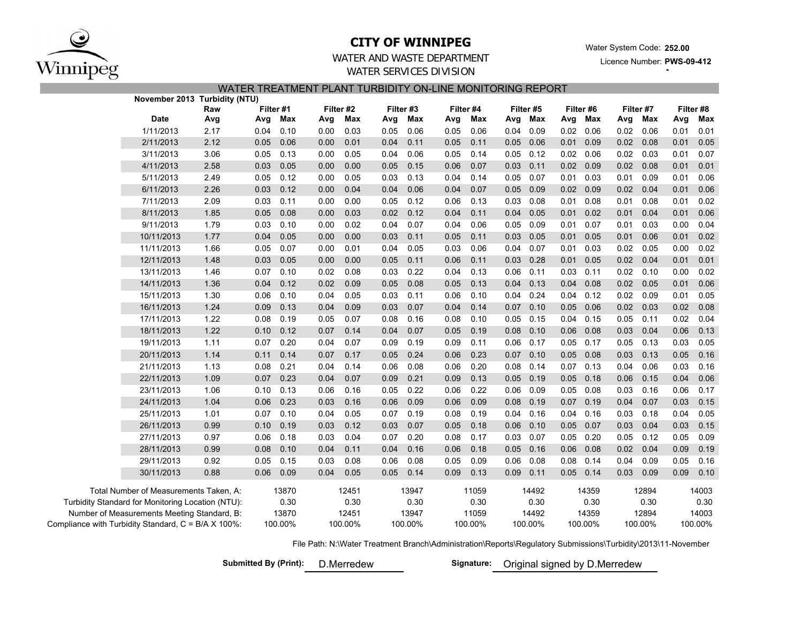

## **CITY OF WINNIPEG**

# WATER AND WASTE DEPARTMENT

**252.00** Water System Code:

**A**

#### Licence Number: **PWS-09-412**

WATER SERVICES DIVISION

|                                | WATER TREATMENT PLANT TURBIDITY ON-LINE MONITORING REPORT |
|--------------------------------|-----------------------------------------------------------|
| November 2013 Turbidity (NTII) |                                                           |

|                                                              | <b>SHINGLEYIV</b><br>uw | uny (n 1 U |                  |      |                  |                  |         |                  |         |             |           |             |                  |      |                  |                  |         |
|--------------------------------------------------------------|-------------------------|------------|------------------|------|------------------|------------------|---------|------------------|---------|-------------|-----------|-------------|------------------|------|------------------|------------------|---------|
| <b>Date</b>                                                  | Raw<br>Avg              | Avg        | Filter #1<br>Max | Avg  | Filter #2<br>Max | Filter #3<br>Avg | Max     | Filter #4<br>Avg | Max     | Avg Max     | Filter #5 | Avg         | Filter #6<br>Max | Avg  | Filter #7<br>Max | Filter #8<br>Avg | Max     |
| 1/11/2013                                                    | 2.17                    | 0.04       | 0.10             | 0.00 | 0.03             | 0.05             | 0.06    | 0.05             | 0.06    | 0.04        | 0.09      | 0.02        | 0.06             | 0.02 | 0.06             | 0.01             | 0.01    |
| 2/11/2013                                                    | 2.12                    | 0.05       | 0.06             | 0.00 | 0.01             | 0.04             | 0.11    | 0.05             | 0.11    | 0.05        | 0.06      | 0.01        | 0.09             | 0.02 | 0.08             | 0.01             | 0.05    |
| 3/11/2013                                                    | 3.06                    | 0.05       | 0.13             | 0.00 | 0.05             | 0.04             | 0.06    | 0.05             | 0.14    | 0.05        | 0.12      | 0.02        | 0.06             | 0.02 | 0.03             | 0.01             | 0.07    |
| 4/11/2013                                                    | 2.58                    | 0.03       | 0.05             | 0.00 | 0.00             | 0.05             | 0.15    | 0.06             | 0.07    | 0.03        | 0.11      | 0.02        | 0.09             | 0.02 | 0.08             | 0.01             | 0.01    |
| 5/11/2013                                                    | 2.49                    | 0.05       | 0.12             | 0.00 | 0.05             | 0.03             | 0.13    | 0.04             | 0.14    | 0.05        | 0.07      | 0.01        | 0.03             | 0.01 | 0.09             | 0.01             | 0.06    |
| 6/11/2013                                                    | 2.26                    | 0.03       | 0.12             | 0.00 | 0.04             | 0.04             | 0.06    | 0.04             | 0.07    | 0.05        | 0.09      | 0.02        | 0.09             | 0.02 | 0.04             | 0.01             | 0.06    |
| 7/11/2013                                                    | 2.09                    | 0.03       | 0.11             | 0.00 | 0.00             | 0.05             | 0.12    | 0.06             | 0.13    | 0.03        | 0.08      | 0.01        | 0.08             | 0.01 | 0.08             | 0.01             | 0.02    |
| 8/11/2013                                                    | 1.85                    | 0.05       | 0.08             | 0.00 | 0.03             | 0.02             | 0.12    | 0.04             | 0.11    | 0.04        | 0.05      | 0.01        | 0.02             | 0.01 | 0.04             | 0.01             | 0.06    |
| 9/11/2013                                                    | 1.79                    | 0.03       | 0.10             | 0.00 | 0.02             | 0.04             | 0.07    | 0.04             | 0.06    | 0.05        | 0.09      | 0.01        | 0.07             | 0.01 | 0.03             | 0.00             | 0.04    |
| 10/11/2013                                                   | 1.77                    | 0.04       | 0.05             | 0.00 | 0.00             | 0.03             | 0.11    | 0.05             | 0.11    | 0.03        | 0.05      | 0.01        | 0.05             | 0.01 | 0.06             | 0.01             | 0.02    |
| 11/11/2013                                                   | 1.66                    | 0.05       | 0.07             | 0.00 | 0.01             | 0.04             | 0.05    | 0.03             | 0.06    | 0.04        | 0.07      | 0.01        | 0.03             | 0.02 | 0.05             | 0.00             | 0.02    |
| 12/11/2013                                                   | 1.48                    | 0.03       | 0.05             | 0.00 | 0.00             | 0.05             | 0.11    | 0.06             | 0.11    | 0.03        | 0.28      | 0.01        | 0.05             | 0.02 | 0.04             | 0.01             | 0.01    |
| 13/11/2013                                                   | 1.46                    | 0.07       | 0.10             | 0.02 | 0.08             | 0.03             | 0.22    | 0.04             | 0.13    | 0.06        | 0.11      | 0.03        | 0.11             | 0.02 | 0.10             | 0.00             | 0.02    |
| 14/11/2013                                                   | 1.36                    | 0.04       | 0.12             | 0.02 | 0.09             | 0.05             | 0.08    | 0.05             | 0.13    | 0.04        | 0.13      | 0.04        | 0.08             | 0.02 | 0.05             | 0.01             | 0.06    |
| 15/11/2013                                                   | 1.30                    | 0.06       | 0.10             | 0.04 | 0.05             | 0.03             | 0.11    | 0.06             | 0.10    | 0.04        | 0.24      | 0.04        | 0.12             | 0.02 | 0.09             | 0.01             | 0.05    |
| 16/11/2013                                                   | 1.24                    | 0.09       | 0.13             | 0.04 | 0.09             | 0.03             | 0.07    | 0.04             | 0.14    | $0.07$ 0.10 |           | 0.05        | 0.06             | 0.02 | 0.03             | 0.02             | 0.08    |
| 17/11/2013                                                   | 1.22                    | 0.08       | 0.19             | 0.05 | 0.07             | 0.08             | 0.16    | 0.08             | 0.10    | $0.05$ 0.15 |           | 0.04        | 0.15             | 0.05 | 0.11             | 0.02             | 0.04    |
| 18/11/2013                                                   | 1.22                    | 0.10       | 0.12             | 0.07 | 0.14             | 0.04             | 0.07    | 0.05             | 0.19    | 0.08        | 0.10      | 0.06        | 0.08             | 0.03 | 0.04             | 0.06             | 0.13    |
| 19/11/2013                                                   | 1.11                    | 0.07       | 0.20             | 0.04 | 0.07             | 0.09             | 0.19    | 0.09             | 0.11    | 0.06        | 0.17      | 0.05        | 0.17             | 0.05 | 0.13             | 0.03             | 0.05    |
| 20/11/2013                                                   | 1.14                    | 0.11       | 0.14             | 0.07 | 0.17             | 0.05             | 0.24    | 0.06             | 0.23    | 0.07        | 0.10      | 0.05        | 0.08             | 0.03 | 0.13             | 0.05             | 0.16    |
| 21/11/2013                                                   | 1.13                    | 0.08       | 0.21             | 0.04 | 0.14             | 0.06             | 0.08    | 0.06             | 0.20    | 0.08        | 0.14      | 0.07        | 0.13             | 0.04 | 0.06             | 0.03             | 0.16    |
| 22/11/2013                                                   | 1.09                    | 0.07       | 0.23             | 0.04 | 0.07             | 0.09             | 0.21    | 0.09             | 0.13    | 0.05        | 0.19      | 0.05        | 0.18             | 0.06 | 0.15             | 0.04             | 0.06    |
| 23/11/2013                                                   | 1.06                    | 0.10       | 0.13             | 0.06 | 0.16             | 0.05             | 0.22    | 0.06             | 0.22    | 0.06        | 0.09      | 0.05        | 0.08             | 0.03 | 0.16             | 0.06             | 0.17    |
| 24/11/2013                                                   | 1.04                    | 0.06       | 0.23             | 0.03 | 0.16             | 0.06             | 0.09    | 0.06             | 0.09    | 0.08        | 0.19      | 0.07        | 0.19             | 0.04 | 0.07             | 0.03             | 0.15    |
| 25/11/2013                                                   | 1.01                    | 0.07       | 0.10             | 0.04 | 0.05             | 0.07             | 0.19    | 0.08             | 0.19    | 0.04        | 0.16      | 0.04        | 0.16             | 0.03 | 0.18             | 0.04             | 0.05    |
| 26/11/2013                                                   | 0.99                    | 0.10       | 0.19             | 0.03 | 0.12             | 0.03             | 0.07    | 0.05             | 0.18    | 0.06        | 0.10      | 0.05        | 0.07             | 0.03 | 0.04             | 0.03             | 0.15    |
| 27/11/2013                                                   | 0.97                    | 0.06       | 0.18             | 0.03 | 0.04             | 0.07             | 0.20    | 0.08             | 0.17    | 0.03        | 0.07      | 0.05        | 0.20             | 0.05 | 0.12             | 0.05             | 0.09    |
| 28/11/2013                                                   | 0.99                    | 0.08       | 0.10             | 0.04 | 0.11             | 0.04             | 0.16    | 0.06             | 0.18    | 0.05        | 0.16      | 0.06        | 0.08             | 0.02 | 0.04             | 0.09             | 0.19    |
| 29/11/2013                                                   | 0.92                    | 0.05       | 0.15             | 0.03 | 0.08             | 0.06             | 0.08    | 0.05             | 0.09    | 0.06        | 0.08      | 0.08        | 0.14             | 0.04 | 0.09             | 0.05             | 0.16    |
| 30/11/2013                                                   | 0.88                    | 0.06       | 0.09             | 0.04 | 0.05             | 0.05             | 0.14    | 0.09             | 0.13    | 0.09        | 0.11      | $0.05$ 0.14 |                  | 0.03 | 0.09             | 0.09             | 0.10    |
| Total Number of Measurements Taken, A:                       |                         |            | 13870            |      | 12451            |                  | 13947   |                  | 11059   |             | 14492     |             | 14359            |      | 12894            |                  | 14003   |
| Turbidity Standard for Monitoring Location (NTU):            |                         |            | 0.30             |      | 0.30             |                  | 0.30    |                  | 0.30    |             | 0.30      |             | 0.30             |      | 0.30             |                  | 0.30    |
| Number of Measurements Meeting Standard, B:                  |                         |            | 13870            |      | 12451            |                  | 13947   |                  | 11059   |             | 14492     |             | 14359            |      | 12894            |                  | 14003   |
| Compliance with Turbidity Standard, $C = B/A \times 100\%$ : |                         |            | 100.00%          |      | 100.00%          |                  | 100.00% |                  | 100.00% |             | 100.00%   |             | 100.00%          |      | 100.00%          |                  | 100.00% |
|                                                              |                         |            |                  |      |                  |                  |         |                  |         |             |           |             |                  |      |                  |                  |         |

File Path: N:\Water Treatment Branch\Administration\Reports\Regulatory Submissions\Turbidity\2013\11-November

**Submitted By (Print):** 

D.Merredew

Signature: Original signed by D.Merredew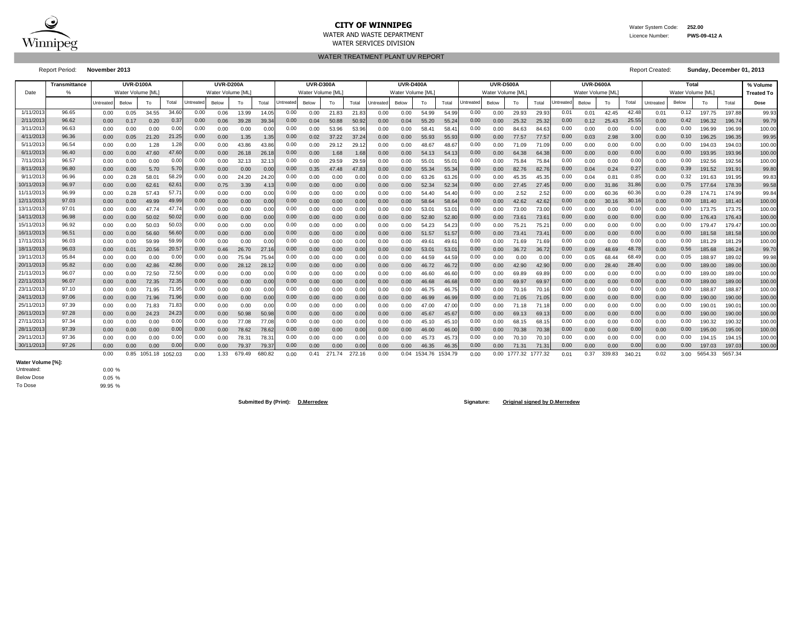

#### **CITY OF WINNIPEG** WATER System Code: 252.00 WATER AND WASTE DEPARTMENT

WATER SERVICES DIVISION

WATER TREATMENT PLANT UV REPORT

Report Period: **November 2013** Report Created: **Sunday, December 01, 2013**

**% Volume Treated To** Untreated Below To Total Untreated Below To Total Untreated Below To Total Untreated Below To Total Untreated Below To Total Total Total Total Total Total D**ose** 0.00 0.05 34.55 34.60| 0.00 0.06 13.99 14.05| 0.00 0.00 21.83 21.83| 0.00 0.00 54.99 54.99| 0.00 0.00 29.93 29.93| 0.01 0.01 42.45 42.48| 0.01 0.12 197.75 197.88| 99.93 0.00 0.17 0.20 0.06 39.28 39.34 0.04 50.88 50.92 0.00 0.04 55.20 55.24 0.00 25.32 25.32 0.12 25.43 0.00 196.32 196.74 99.79 0.00 0.00 0.00 0.00 0.00 0.00 0.00 0.00 0.00 53.96 53.96 0.00 0.00 58.41 58.41| 0.00 0.00 84.63 84.63| 0.00 0.00 0.00 0.00 0.00 196.99 196.99| 100.00 0.00 0.05 21.20 0.00 1.35 1.35 0.02 37.22 37.24 0.00 0.00 55.93 55.93 0.00 77.57 77.57 0.03 2.98 0.00 196.25 196.35 99.95 0.00 1.28 1.28 0.00 0.00 43.86 43.86 0.00 0.00 29.12 29.12 0.00 0.00 48.67 48.67 0.00 0.00 71.09 0.00 0.00 0.00 0.00 0.00 0.00 194.03 194.03 100.00 0.00 0.00 47.60 47.60 0.00 0.00 26.18 26.18 0.00 0.00 1.68 1.68 0.00 0.00 54.13 54.13 0.00 0.00 64.38 64.38 0.00 0.00 0.00 0.00 0.00 0.00 193.95 193.96 100.00 0.00 0.00 0.00 0.00 0.00 32.13 32.13 0.00 0.00 29.59 29.59 0.00 0.00 55.01 55.01 0.00 0.00 75.84 75.84 0.00 0.00 0.00 0.00 0.00 0.00 192.56 192.56 100.00 0.00 0.00 5.70 0.00 0.00 0.00 0.35 47.48 47.83 0.00 0.00 55.34 55.34 0.00 82.76 82.76 0.04 0.24 0.00 191.52 191.91 99.80 0.00 0.28 58.01 0.00 24.20 24.20 0.00 0.00 0.00 0.00 0.00 63.26 63.26 0.00 45.35 45.35 0.04 0.81 0.00 191.63 191.95 99.83 0.00 0.00 62.61 0.75 3.39 4.13 0.00 0.00 0.00 0.00 0.00 52.34 52.34 0.00 27.45 27.45 0.00 31.86 0.00 177.64 178.39 99.58 0.00 0.28 57.43 0.00 0.00 0.00 0.00 0.00 0.00 0.00 0.00 54.40 54.40 0.00 2.52 2.52 0.00 60.36 0.00 174.71 174.99 99.84 0.00 0.00 49.99 0.00 0.00 0.00 0.00 0.00 0.00 0.00 0.00 58.64 58.64 0.00 42.62 42.62 0.00 30.16 0.00 181.40 181.40 100.00 0.00 0.00 47.74 0.00 0.00 0.00 0.00 0.00 0.00 0.00 0.00 53.01 53.01 0.00 73.00 73.00 0.00 0.00 0.00 173.75 173.75 100.00 0.00 0.00 50.02 0.00 0.00 0.00 0.00 0.00 0.00 0.00 0.00 52.80 52.80 0.00 73.61 73.61 0.00 0.00 0.00 176.43 176.43 100.00 0.00 0.00 50.03 0.00 0.00 0.00 0.00 0.00 0.00 0.00 0.00 54.23 54.23 0.00 75.21 75.21 0.00 0.00 0.00 179.47 179.47 100.00 0.00 0.00 56.60 0.00 0.00 0.00 0.00 0.00 0.00 0.00 0.00 51.57 51.57 0.00 73.41 73.41 0.00 0.00 0.00 181.58 181.58 100.00 0.00 0.00 59.99 0.00 0.00 0.00 0.00 0.00 0.00 0.00 0.00 49.61 49.61 0.00 71.69 71.69 0.00 0.00 0.00 181.29 181.29 100.00 0.00 0.01 20.56 0.46 26.70 27.16 0.00 0.00 0.00 0.00 0.00 53.01 53.01 0.00 36.72 36.72 0.09 48.69 0.00 185.68 186.24 99.70 0.00 0.00 0.00 0.00 75.94 75.94 0.00 0.00 0.00 0.00 0.00 44.59 44.59 0.00 0.00 0.00 0.05 68.44 0.00 188.97 189.02 99.98 0.00 0.00 42.86 42.86| 0.00 0.00 28.12 28.12| 0.00 0.00 0.00 0.00 0.00 46.72 46.72| 0.00 0.00 42.90 0.00 0.00 0.00 28.40 0.00 0.00 0.00 189.00 189.00| 100.00 0.00 0.00 72.50 0.00 0.00 0.00 0.00 0.00 0.00 0.00 0.00 46.60 46.60 0.00 69.89 69.89 0.00 0.00 0.00 189.00 189.00 100.00 0.00 0.00 72.35 0.00 0.00 0.00 0.00 0.00 0.00 0.00 0.00 46.68 46.68 0.00 69.97 69.97 0.00 0.00 0.00 189.00 189.00 100.00 0.00 0.00 71.95 0.00 0.00 0.00 0.00 0.00 0.00 0.00 0.00 46.75 46.75 0.00 70.16 70.16 0.00 0.00 0.00 188.87 188.87 100.00 0.00 0.00 71.96 71.96| 0.00 0.00 0.00| 0.00 0.00 0.00 0.00| 0.00 0.00 46.99| 0.00 0.00 71.05 71.05| 0.00 0.00 0.00 0.00 0.00 0.00 190.00| 100.00| 100.00| 100.00 0.00 0.00 71.83 0.00 0.00 0.00 0.00 0.00 0.00 0.00 0.00 47.00 47.00 0.00 71.18 71.18 0.00 0.00 0.00 190.01 190.01 100.00 0.00 0.00 24.23 24.23| 0.00 0.00 50.98 50.98| 0.00 0.00 0.00 0.00 0.00 0.00 45.67 45.67| 0.00 0.00 69.13 69.13| 0.00 0.00 0.00 0.00 0.00 100.00 190.00| 100.00| 100.00 0.00 0.00 0.00 0.00 77.08 77.08 0.00 0.00 0.00 0.00 0.00 45.10 45.10 0.00 68.15 68.15 0.00 0.00 0.00 190.32 190.32 100.00 0.00 0.00 0.00 0.00 78.62 78.62 0.00 0.00 0.00 0.00 0.00 46.00 46.00 0.00 70.38 70.38 0.00 0.00 0.00 195.00 195.00 100.00 0.00 0.00 0.00 0.00 78.31 78.31 0.00 0.00 0.00 0.00 0.00 45.73 45.73 0.00 70.10 70.10 0.00 0.00 0.00 194.15 194.15 100.00 0.00 0.00 0.00 0.00 0.00 79.37 79.37 0.00 0.00 0.00 0.00 0.00 46.35 46.35| 0.00 0.00 71.31 7.31| 0.00 0.00 0.00 0.00 0.00 0.00 197.03 197.03| 100.00 0.00 0.85 1051.18 1052.03 0.00 1.33 679.49 680.82 0.00 0.41 271.74 272.16 0.00 0.04 1534.76 1534.79 0.00 0.00 1777.32 1777.32 0.01 0.37 339.83 340.21 0.02 3.00 5654.33 5657.34 **Transmittance UVR-D100A UVR-D200A UVR-D300A UVR-D400A UVR-D500A UVR-D600A Total** Date | % | Water Volume [ML] | Water Volume [ML] | Water Volume [ML] | Water Volume [ML] | Water Volume [ML] | Water Volume [ML] Total Untreated Below To Total Untreated Below To Total Untreated Below To Total Untreated Below To Total Untreated Below To Total Untreated Below 1/11/2013 96.65 | 0.00 0.05 34.55 34.60| 0.00 0.06 13.99 14.05| 0.00 0.00 21.83 21.83| 0.00 0.00 54.99 54.99| 0.00 0.00 29.93 29.93| 0.01 0.01 42.45 42.48| 0.01 0.12 2/11/2013 96.62 | 0.00 0.17 0.20 0.37 0.00 0.06 39.28 39.34 0.00 0.04 50.88 50.92 0.00 0.04 55.20 55.24 0.00 0.00 25.32 25.32 0.00 0.12 25.43 25.55 0.00 0.42 3/11/2013 96.63 0.00 0.00 0.00 0.00 0.00 0.00 0.00 4/11/2013 96.36 | 0.00 0.05 21.20 21.25 0.00 1.35 1.35 0.00 0.02 37.22 37.24 0.00 0.00 55.93 55.93 0.00 0.00 77.57 77.57 0.00 0.03 2.98 3.00 0.00 0.10 5/11/2013 96.54 0.00 0.00 1.28 1.28 0.00 0.00 43.86 43.86 0.00 0.00 29.12 29.12 0.00 0.00 48.67 48.67 0.00 0.00 71.09 71.09 71.09 0.00 0.00 0.00 0.00 0.00 0.00 6/11/2013 96.40 0.00 0.00 47.60 47.60 0.00 0.00 26.18 26.18 0.00 0.00 1.68 1.68 0.00 0.00 54.13 54.13 0.00 0.00 64.38 64.38 0.00 0.00 0.00 0.00 0.00 0.00 0.00 7/11/2013 96.57 | 0.00 0.00 0.00 0.00 0.00 0.00 32.13 32.13 0.00 0.00 29.59 29.59 0.00 0.00 55.01 55.01 0.00 0.00 75.84 75.84 0.00 0.00 0.00 0.00 0.00 0.00 0.00 8/11/2013| 96.80 | 0.00 0.00 5.70 5.70| 0.00 0.00 0.00| 0.00 0.35 47.48 47.83| 0.00 0.00 55.34 55.34| 0.00 0.00 82.76 82.76| 0.00 0.04 0.24 0.27| 0.00 0.39 9/11/2013 96.96 58.29 0.00 0.00 0.00 0.00 0.85 0.32 10/11/2013**|** 96.97 | 0.00 0.00 62.61 62.61| 0.00 0.75 3.39 4.13| 0.00 0.00 0.00 0.00 0.00 52.34 52.34| 0.00 0.00 27.45 27.45| 0.00 0.00 31.86 31.86| 0.00 0.75 11/11/2013| 96.99 | 0.00 0.28 57.43 57.71| 0.00 0.00 0.00 0.00| 0.00 0.00 0.00| 0.00 0.00 54.40 54.40| 0.00 0.00 0.00 2.52 2.52| 0.00 0.00 60.36 60.36| 0.00 0.28 12/11/2013 97.03 49.99 0.00 0.00 0.00 0.00 30.16 0.00 13/11/2013 97.01 47.74 0.00 0.00 0.00 0.00 0.00 0.00 14/11/2013 96.98 50.02 0.00 0.00 0.00 0.00 0.00 0.00 15/11/2013 96.92 50.03 0.00 0.00 0.00 0.00 0.00 0.00 16/11/2013 96.51 56.60 0.00 0.00 0.00 0.00 0.00 0.00 17/11/2013 96.03 59.99 0.00 0.00 0.00 0.00 0.00 0.00 18/11/2013| 96.03 | 0.00 0.01 20.56 20.57| 0.00 0.46 26.70 27.16| 0.00 0.00 0.00 0.00 0.00 0.00 53.01 53.01| 0.00 0.00 36.72 36.72| 0.00 0.09 48.69 48.78| 0.00 0.56 19/11/2013 95.84 0.00 0.00 0.00 0.00 0.00 0.00 75.94 75.94 0.00 0.00 0.00 0.00 0.00 0.00 44.59 0.40 0.00 0.00 0.00 0.00 0.00 0.05 68.44 68.49 0.00 0.05 20/11/2013 95.82 | 0.00 0.00 42.86 42.86| 0.00 0.00 28.12 28.12| 0.00 0.00 0.00 0.00 0.00 0.00 46.72 46.72| 0.00 0.00 0.00 42.90 42.90| 0.00 0.00 28.40 28.40| 0.00 0.00 0.00 21/11/2013 96.07 72.50 0.00 0.00 0.00 0.00 0.00 0.00 22/11/2013 96.07 | 0.00 0.00 72.35 72.35| 0.00 0.00 0.00 0.00| 0.00 0.00| 0.00 0.00 0.00 46.68 46.68| 0.00 0.00 69.97 69.97| 0.00 0.00 0.00 0.00| 0.00 0.00 0.00 23/11/2013 97.10 71.95 0.00 0.00 0.00 0.00 0.00 0.00 24/11/2013 97.06 71.96 0.00 0.00 0.00 0.00 0.00 0.00 25/11/2013 97.39 71.83 0.00 0.00 0.00 0.00 0.00 0.00 26/11/2013**|** 97.28 | 0.00 0.00 24.23 <sup>24.23</sup>| 0.00 0.00 50.98 50.98| 0.00 0.00 0.00 0.00 0.00 0.00 45.67 45.67| 0.00 0.00 69.13 69.13| 0.00 0.00 0.00 0.00| 0.00 0.00 0.00 27/11/2013| 97.34 | 0.00 0.00 0.00 0.00 0.00 77.08 77.08| 0.00 0.00 0.00 0.00 0.00 0.00 45.10 45.10| 0.00 0.00 68.15 68.15| 0.00 0.00 0.00 0.00| 0.00 0.00 0.00 28/11/2013 97.39 0.00 0.00 0.00 0.00 0.00 0.00 0.00 29/11/2013 97.36 0.00 0.00 0.00 0.00 0.00 0.00 0.00 30/11/2013 97.26 | 0.00 0.00 0.00 0.00 0.00 79.37 79.37| 0.00 0.00 0.00 0.00 0.00 0.00 46.35 46.35| 0.00 0.00 71.31 71.31| 0.00 0.00 0.00 0.00 0.00 0.00 0.00 0.03 0.00 1.33 679.49 680.82 0.00 0.41 271.74 272.16 0.00 0.04 1534.76 1534.79 0.00 0.00 1777.32 1777.32 0.01 0.37 339.83 340.21 0.02 3.00

**Water Volume [%]:** Untreated: Below Dose To Dose

0.00 % 0.05 % 99.95 %

**Submitted By (Print): D.Merredew Signature: Original signed by D.Merredew**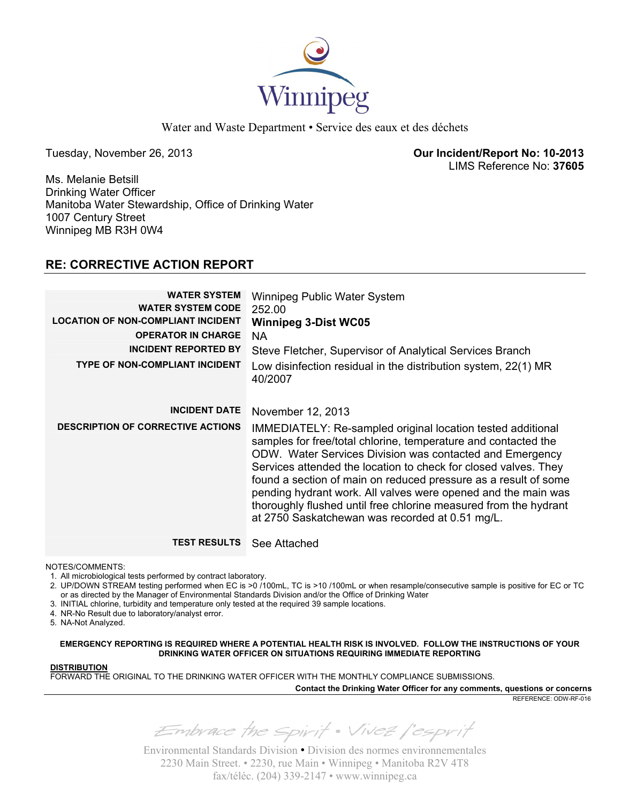

Water and Waste Department • Service des eaux et des déchets

Tuesday, November 26, 2013 **Our Incident/Report No: 10-2013**  LIMS Reference No: **37605**

Ms. Melanie Betsill Drinking Water Officer Manitoba Water Stewardship, Office of Drinking Water 1007 Century Street Winnipeg MB R3H 0W4

## **RE: CORRECTIVE ACTION REPORT**

| <b>WATER SYSTEM</b><br><b>WATER SYSTEM CODE</b><br><b>LOCATION OF NON-COMPLIANT INCIDENT</b><br><b>OPERATOR IN CHARGE</b><br><b>INCIDENT REPORTED BY</b><br><b>TYPE OF NON-COMPLIANT INCIDENT</b> | <b>Winnipeg Public Water System</b><br>252.00<br><b>Winnipeg 3-Dist WC05</b><br>NA<br>Steve Fletcher, Supervisor of Analytical Services Branch<br>Low disinfection residual in the distribution system, 22(1) MR<br>40/2007                                                                                                                                                                                                                                                                                             |
|---------------------------------------------------------------------------------------------------------------------------------------------------------------------------------------------------|-------------------------------------------------------------------------------------------------------------------------------------------------------------------------------------------------------------------------------------------------------------------------------------------------------------------------------------------------------------------------------------------------------------------------------------------------------------------------------------------------------------------------|
| <b>INCIDENT DATE</b>                                                                                                                                                                              | November 12, 2013                                                                                                                                                                                                                                                                                                                                                                                                                                                                                                       |
| <b>DESCRIPTION OF CORRECTIVE ACTIONS</b>                                                                                                                                                          | IMMEDIATELY: Re-sampled original location tested additional<br>samples for free/total chlorine, temperature and contacted the<br>ODW. Water Services Division was contacted and Emergency<br>Services attended the location to check for closed valves. They<br>found a section of main on reduced pressure as a result of some<br>pending hydrant work. All valves were opened and the main was<br>thoroughly flushed until free chlorine measured from the hydrant<br>at 2750 Saskatchewan was recorded at 0.51 mg/L. |
| <b>TEST RESULTS</b>                                                                                                                                                                               | See Attached                                                                                                                                                                                                                                                                                                                                                                                                                                                                                                            |

NOTES/COMMENTS:

1. All microbiological tests performed by contract laboratory.

2. UP/DOWN STREAM testing performed when EC is >0 /100mL, TC is >10 /100mL or when resample/consecutive sample is positive for EC or TC or as directed by the Manager of Environmental Standards Division and/or the Office of Drinking Water

- 3. INITIAL chlorine, turbidity and temperature only tested at the required 39 sample locations.
- 4. NR-No Result due to laboratory/analyst error.

5. NA-Not Analyzed.

**EMERGENCY REPORTING IS REQUIRED WHERE A POTENTIAL HEALTH RISK IS INVOLVED. FOLLOW THE INSTRUCTIONS OF YOUR DRINKING WATER OFFICER ON SITUATIONS REQUIRING IMMEDIATE REPORTING**

### **DISTRIBUTION**

FORWARD THE ORIGINAL TO THE DRINKING WATER OFFICER WITH THE MONTHLY COMPLIANCE SUBMISSIONS.

**Contact the Drinking Water Officer for any comments, questions or concerns**

REFERENCE: ODW-RF-016

Embrace the spirit . Vivez l'esprit

Environmental Standards Division • Division des normes environnementales 2230 Main Street. • 2230, rue Main • Winnipeg • Manitoba R2V 4T8 fax/téléc. (204) 339-2147 • www.winnipeg.ca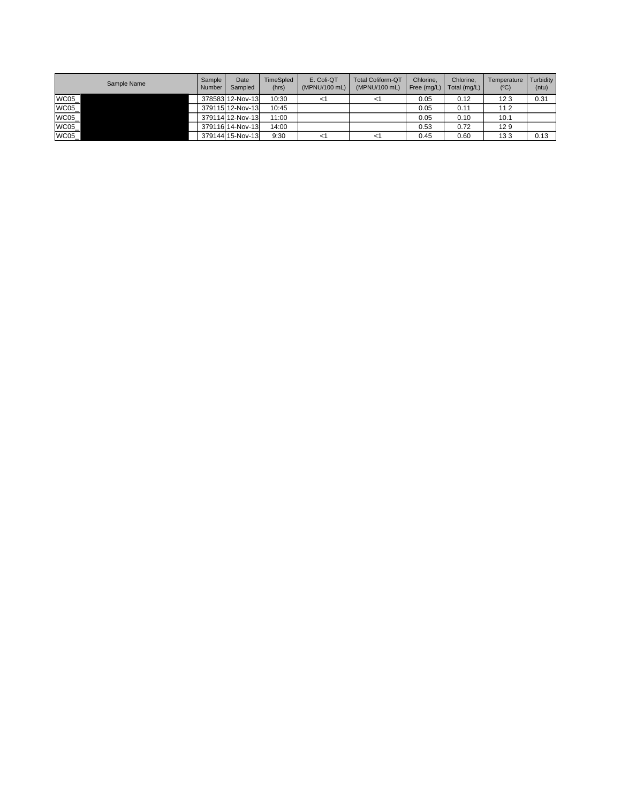|       | Sample Name | Sample<br>Number | Date<br>Sampled  | <b>TimeSpled</b><br>(hrs) | E. Coli-QT<br>(MPNU/100 mL) | <b>Total Coliform-QT</b><br>(MPNU/100 mL) | Chlorine.<br>Free (mg/L) | Chlorine,<br>Total (mg/L) | Temperature<br>$(^{\circ}C)$ | Turbidity<br>(ntu) |
|-------|-------------|------------------|------------------|---------------------------|-----------------------------|-------------------------------------------|--------------------------|---------------------------|------------------------------|--------------------|
| WC05  |             |                  | 378583 12-Nov-13 | 10:30                     |                             |                                           | 0.05                     | 0.12                      | 123                          | 0.31               |
| WC05  |             |                  | 379115 12-Nov-13 | 10:45                     |                             |                                           | 0.05                     | 0.11                      | 112                          |                    |
| WC05  |             |                  | 379114 12-Nov-13 | 11:00                     |                             |                                           | 0.05                     | 0.10                      | 10.1                         |                    |
| WC05_ |             |                  | 379116 14-Nov-13 | 14:00                     |                             |                                           | 0.53                     | 0.72                      | 129                          |                    |
| WC05_ |             |                  | 379144 15-Nov-13 | 9:30                      | <۱                          | ا>                                        | 0.45                     | 0.60                      | 133                          | 0.13               |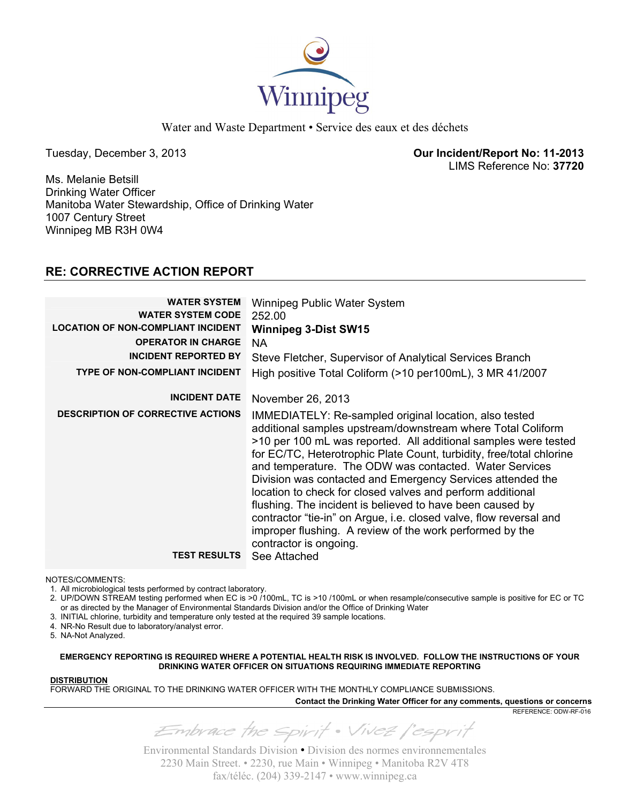

Water and Waste Department • Service des eaux et des déchets

Tuesday, December 3, 2013 **Our Incident/Report No: 11-2013**  LIMS Reference No: **37720**

Ms. Melanie Betsill Drinking Water Officer Manitoba Water Stewardship, Office of Drinking Water 1007 Century Street Winnipeg MB R3H 0W4

## **RE: CORRECTIVE ACTION REPORT**

| <b>WATER SYSTEM</b><br><b>WATER SYSTEM CODE</b><br><b>LOCATION OF NON-COMPLIANT INCIDENT</b><br><b>OPERATOR IN CHARGE</b><br><b>INCIDENT REPORTED BY</b><br><b>TYPE OF NON-COMPLIANT INCIDENT</b> | Winnipeg Public Water System<br>252.00<br><b>Winnipeg 3-Dist SW15</b><br><b>NA</b><br>Steve Fletcher, Supervisor of Analytical Services Branch<br>High positive Total Coliform (>10 per100mL), 3 MR 41/2007                                                                                                                                                                                                                                                                                                                                                                                                                                                                                          |
|---------------------------------------------------------------------------------------------------------------------------------------------------------------------------------------------------|------------------------------------------------------------------------------------------------------------------------------------------------------------------------------------------------------------------------------------------------------------------------------------------------------------------------------------------------------------------------------------------------------------------------------------------------------------------------------------------------------------------------------------------------------------------------------------------------------------------------------------------------------------------------------------------------------|
| <b>INCIDENT DATE</b><br><b>DESCRIPTION OF CORRECTIVE ACTIONS</b>                                                                                                                                  | November 26, 2013<br>IMMEDIATELY: Re-sampled original location, also tested<br>additional samples upstream/downstream where Total Coliform<br>>10 per 100 mL was reported. All additional samples were tested<br>for EC/TC, Heterotrophic Plate Count, turbidity, free/total chlorine<br>and temperature. The ODW was contacted. Water Services<br>Division was contacted and Emergency Services attended the<br>location to check for closed valves and perform additional<br>flushing. The incident is believed to have been caused by<br>contractor "tie-in" on Argue, i.e. closed valve, flow reversal and<br>improper flushing. A review of the work performed by the<br>contractor is ongoing. |
| <b>TEST RESULTS</b>                                                                                                                                                                               | See Attached                                                                                                                                                                                                                                                                                                                                                                                                                                                                                                                                                                                                                                                                                         |

NOTES/COMMENTS:

1. All microbiological tests performed by contract laboratory.

2. UP/DOWN STREAM testing performed when EC is >0 /100mL, TC is >10 /100mL or when resample/consecutive sample is positive for EC or TC or as directed by the Manager of Environmental Standards Division and/or the Office of Drinking Water

3. INITIAL chlorine, turbidity and temperature only tested at the required 39 sample locations.

4. NR-No Result due to laboratory/analyst error.

5. NA-Not Analyzed.

**EMERGENCY REPORTING IS REQUIRED WHERE A POTENTIAL HEALTH RISK IS INVOLVED. FOLLOW THE INSTRUCTIONS OF YOUR DRINKING WATER OFFICER ON SITUATIONS REQUIRING IMMEDIATE REPORTING**

#### **DISTRIBUTION**

FORWARD THE ORIGINAL TO THE DRINKING WATER OFFICER WITH THE MONTHLY COMPLIANCE SUBMISSIONS.

**Contact the Drinking Water Officer for any comments, questions or concerns**

REFERENCE: ODW-RF-016

Embrace the Spirit . Vivez l'esprit

Environmental Standards Division • Division des normes environnementales 2230 Main Street. • 2230, rue Main • Winnipeg • Manitoba R2V 4T8 fax/téléc. (204) 339-2147 • www.winnipeg.ca